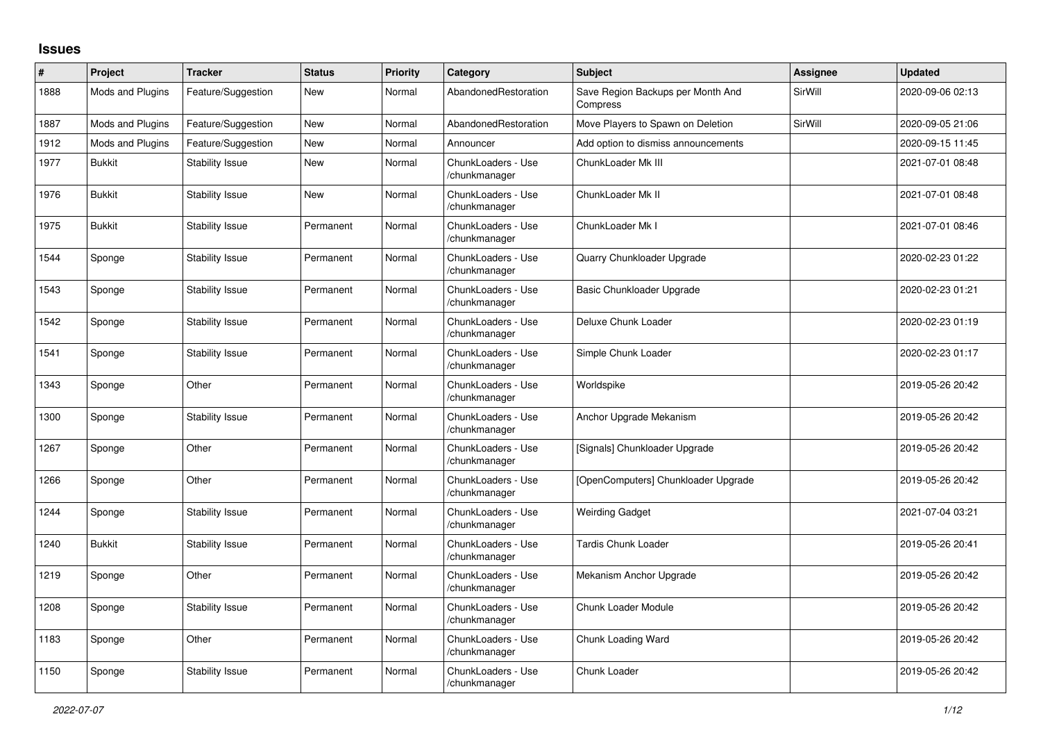## **Issues**

| $\pmb{\#}$ | Project          | <b>Tracker</b>         | <b>Status</b> | <b>Priority</b> | Category                            | <b>Subject</b>                                | <b>Assignee</b> | <b>Updated</b>   |
|------------|------------------|------------------------|---------------|-----------------|-------------------------------------|-----------------------------------------------|-----------------|------------------|
| 1888       | Mods and Plugins | Feature/Suggestion     | New           | Normal          | AbandonedRestoration                | Save Region Backups per Month And<br>Compress | SirWill         | 2020-09-06 02:13 |
| 1887       | Mods and Plugins | Feature/Suggestion     | New           | Normal          | AbandonedRestoration                | Move Players to Spawn on Deletion             | SirWill         | 2020-09-05 21:06 |
| 1912       | Mods and Plugins | Feature/Suggestion     | New           | Normal          | Announcer                           | Add option to dismiss announcements           |                 | 2020-09-15 11:45 |
| 1977       | <b>Bukkit</b>    | <b>Stability Issue</b> | <b>New</b>    | Normal          | ChunkLoaders - Use<br>/chunkmanager | ChunkLoader Mk III                            |                 | 2021-07-01 08:48 |
| 1976       | <b>Bukkit</b>    | <b>Stability Issue</b> | <b>New</b>    | Normal          | ChunkLoaders - Use<br>/chunkmanager | ChunkLoader Mk II                             |                 | 2021-07-01 08:48 |
| 1975       | <b>Bukkit</b>    | <b>Stability Issue</b> | Permanent     | Normal          | ChunkLoaders - Use<br>/chunkmanager | ChunkLoader Mk I                              |                 | 2021-07-01 08:46 |
| 1544       | Sponge           | <b>Stability Issue</b> | Permanent     | Normal          | ChunkLoaders - Use<br>/chunkmanager | Quarry Chunkloader Upgrade                    |                 | 2020-02-23 01:22 |
| 1543       | Sponge           | <b>Stability Issue</b> | Permanent     | Normal          | ChunkLoaders - Use<br>/chunkmanager | Basic Chunkloader Upgrade                     |                 | 2020-02-23 01:21 |
| 1542       | Sponge           | <b>Stability Issue</b> | Permanent     | Normal          | ChunkLoaders - Use<br>/chunkmanager | Deluxe Chunk Loader                           |                 | 2020-02-23 01:19 |
| 1541       | Sponge           | <b>Stability Issue</b> | Permanent     | Normal          | ChunkLoaders - Use<br>/chunkmanager | Simple Chunk Loader                           |                 | 2020-02-23 01:17 |
| 1343       | Sponge           | Other                  | Permanent     | Normal          | ChunkLoaders - Use<br>/chunkmanager | Worldspike                                    |                 | 2019-05-26 20:42 |
| 1300       | Sponge           | Stability Issue        | Permanent     | Normal          | ChunkLoaders - Use<br>/chunkmanager | Anchor Upgrade Mekanism                       |                 | 2019-05-26 20:42 |
| 1267       | Sponge           | Other                  | Permanent     | Normal          | ChunkLoaders - Use<br>/chunkmanager | [Signals] Chunkloader Upgrade                 |                 | 2019-05-26 20:42 |
| 1266       | Sponge           | Other                  | Permanent     | Normal          | ChunkLoaders - Use<br>/chunkmanager | [OpenComputers] Chunkloader Upgrade           |                 | 2019-05-26 20:42 |
| 1244       | Sponge           | <b>Stability Issue</b> | Permanent     | Normal          | ChunkLoaders - Use<br>/chunkmanager | <b>Weirding Gadget</b>                        |                 | 2021-07-04 03:21 |
| 1240       | <b>Bukkit</b>    | <b>Stability Issue</b> | Permanent     | Normal          | ChunkLoaders - Use<br>/chunkmanager | Tardis Chunk Loader                           |                 | 2019-05-26 20:41 |
| 1219       | Sponge           | Other                  | Permanent     | Normal          | ChunkLoaders - Use<br>/chunkmanager | Mekanism Anchor Upgrade                       |                 | 2019-05-26 20:42 |
| 1208       | Sponge           | <b>Stability Issue</b> | Permanent     | Normal          | ChunkLoaders - Use<br>/chunkmanager | Chunk Loader Module                           |                 | 2019-05-26 20:42 |
| 1183       | Sponge           | Other                  | Permanent     | Normal          | ChunkLoaders - Use<br>/chunkmanager | Chunk Loading Ward                            |                 | 2019-05-26 20:42 |
| 1150       | Sponge           | <b>Stability Issue</b> | Permanent     | Normal          | ChunkLoaders - Use<br>/chunkmanager | Chunk Loader                                  |                 | 2019-05-26 20:42 |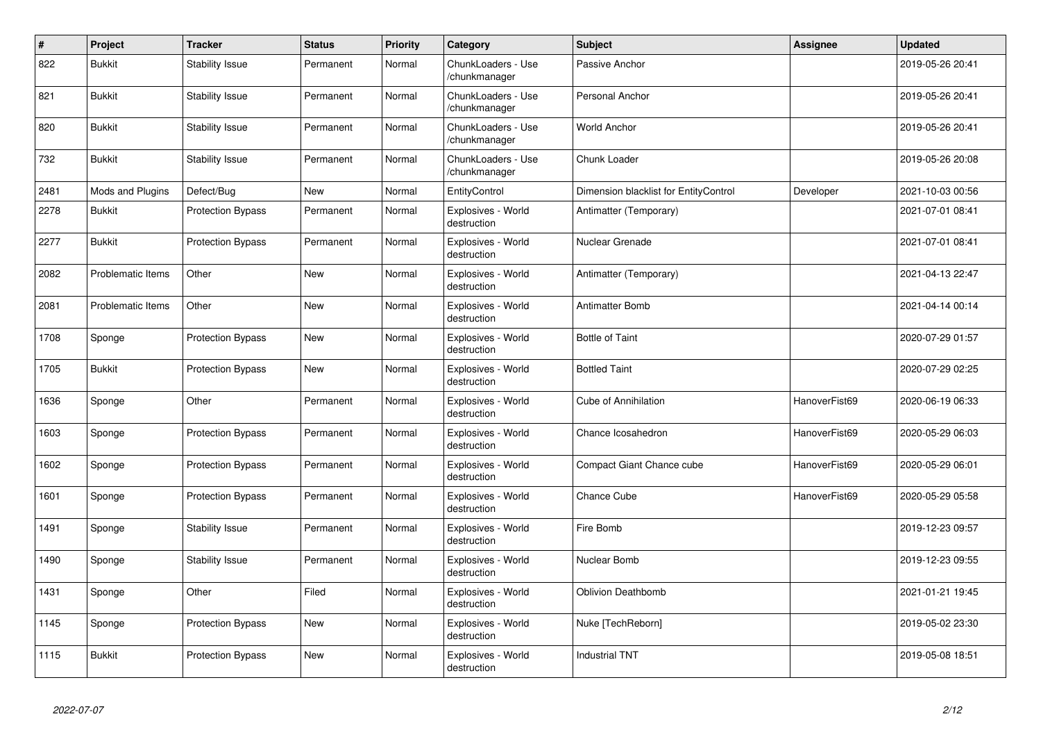| $\#$ | Project                  | <b>Tracker</b>           | <b>Status</b> | <b>Priority</b> | Category                            | <b>Subject</b>                        | <b>Assignee</b> | <b>Updated</b>   |
|------|--------------------------|--------------------------|---------------|-----------------|-------------------------------------|---------------------------------------|-----------------|------------------|
| 822  | <b>Bukkit</b>            | <b>Stability Issue</b>   | Permanent     | Normal          | ChunkLoaders - Use<br>/chunkmanager | Passive Anchor                        |                 | 2019-05-26 20:41 |
| 821  | <b>Bukkit</b>            | <b>Stability Issue</b>   | Permanent     | Normal          | ChunkLoaders - Use<br>/chunkmanager | Personal Anchor                       |                 | 2019-05-26 20:41 |
| 820  | <b>Bukkit</b>            | Stability Issue          | Permanent     | Normal          | ChunkLoaders - Use<br>/chunkmanager | <b>World Anchor</b>                   |                 | 2019-05-26 20:41 |
| 732  | <b>Bukkit</b>            | <b>Stability Issue</b>   | Permanent     | Normal          | ChunkLoaders - Use<br>/chunkmanager | Chunk Loader                          |                 | 2019-05-26 20:08 |
| 2481 | Mods and Plugins         | Defect/Bug               | New           | Normal          | EntityControl                       | Dimension blacklist for EntityControl | Developer       | 2021-10-03 00:56 |
| 2278 | <b>Bukkit</b>            | <b>Protection Bypass</b> | Permanent     | Normal          | Explosives - World<br>destruction   | Antimatter (Temporary)                |                 | 2021-07-01 08:41 |
| 2277 | Bukkit                   | <b>Protection Bypass</b> | Permanent     | Normal          | Explosives - World<br>destruction   | Nuclear Grenade                       |                 | 2021-07-01 08:41 |
| 2082 | <b>Problematic Items</b> | Other                    | <b>New</b>    | Normal          | Explosives - World<br>destruction   | Antimatter (Temporary)                |                 | 2021-04-13 22:47 |
| 2081 | <b>Problematic Items</b> | Other                    | New           | Normal          | Explosives - World<br>destruction   | <b>Antimatter Bomb</b>                |                 | 2021-04-14 00:14 |
| 1708 | Sponge                   | <b>Protection Bypass</b> | New           | Normal          | Explosives - World<br>destruction   | <b>Bottle of Taint</b>                |                 | 2020-07-29 01:57 |
| 1705 | <b>Bukkit</b>            | <b>Protection Bypass</b> | New           | Normal          | Explosives - World<br>destruction   | <b>Bottled Taint</b>                  |                 | 2020-07-29 02:25 |
| 1636 | Sponge                   | Other                    | Permanent     | Normal          | Explosives - World<br>destruction   | <b>Cube of Annihilation</b>           | HanoverFist69   | 2020-06-19 06:33 |
| 1603 | Sponge                   | <b>Protection Bypass</b> | Permanent     | Normal          | Explosives - World<br>destruction   | Chance Icosahedron                    | HanoverFist69   | 2020-05-29 06:03 |
| 1602 | Sponge                   | <b>Protection Bypass</b> | Permanent     | Normal          | Explosives - World<br>destruction   | <b>Compact Giant Chance cube</b>      | HanoverFist69   | 2020-05-29 06:01 |
| 1601 | Sponge                   | Protection Bypass        | Permanent     | Normal          | Explosives - World<br>destruction   | Chance Cube                           | HanoverFist69   | 2020-05-29 05:58 |
| 1491 | Sponge                   | <b>Stability Issue</b>   | Permanent     | Normal          | Explosives - World<br>destruction   | Fire Bomb                             |                 | 2019-12-23 09:57 |
| 1490 | Sponge                   | <b>Stability Issue</b>   | Permanent     | Normal          | Explosives - World<br>destruction   | Nuclear Bomb                          |                 | 2019-12-23 09:55 |
| 1431 | Sponge                   | Other                    | Filed         | Normal          | Explosives - World<br>destruction   | <b>Oblivion Deathbomb</b>             |                 | 2021-01-21 19:45 |
| 1145 | Sponge                   | <b>Protection Bypass</b> | New           | Normal          | Explosives - World<br>destruction   | Nuke [TechReborn]                     |                 | 2019-05-02 23:30 |
| 1115 | <b>Bukkit</b>            | <b>Protection Bypass</b> | New           | Normal          | Explosives - World<br>destruction   | <b>Industrial TNT</b>                 |                 | 2019-05-08 18:51 |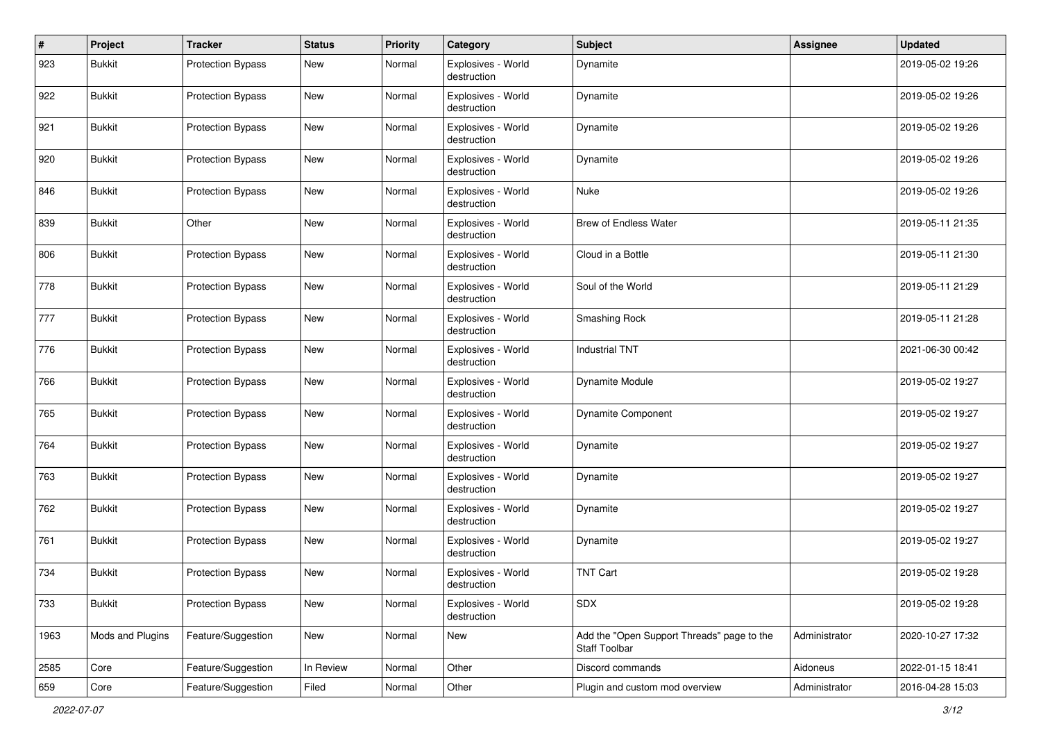| #    | Project          | <b>Tracker</b>           | <b>Status</b> | <b>Priority</b> | Category                          | <b>Subject</b>                                              | Assignee      | <b>Updated</b>   |
|------|------------------|--------------------------|---------------|-----------------|-----------------------------------|-------------------------------------------------------------|---------------|------------------|
| 923  | <b>Bukkit</b>    | <b>Protection Bypass</b> | New           | Normal          | Explosives - World<br>destruction | Dynamite                                                    |               | 2019-05-02 19:26 |
| 922  | <b>Bukkit</b>    | <b>Protection Bypass</b> | New           | Normal          | Explosives - World<br>destruction | Dynamite                                                    |               | 2019-05-02 19:26 |
| 921  | <b>Bukkit</b>    | <b>Protection Bypass</b> | New           | Normal          | Explosives - World<br>destruction | Dynamite                                                    |               | 2019-05-02 19:26 |
| 920  | <b>Bukkit</b>    | <b>Protection Bypass</b> | New           | Normal          | Explosives - World<br>destruction | Dynamite                                                    |               | 2019-05-02 19:26 |
| 846  | <b>Bukkit</b>    | <b>Protection Bypass</b> | New           | Normal          | Explosives - World<br>destruction | Nuke                                                        |               | 2019-05-02 19:26 |
| 839  | <b>Bukkit</b>    | Other                    | New           | Normal          | Explosives - World<br>destruction | <b>Brew of Endless Water</b>                                |               | 2019-05-11 21:35 |
| 806  | <b>Bukkit</b>    | <b>Protection Bypass</b> | New           | Normal          | Explosives - World<br>destruction | Cloud in a Bottle                                           |               | 2019-05-11 21:30 |
| 778  | <b>Bukkit</b>    | <b>Protection Bypass</b> | New           | Normal          | Explosives - World<br>destruction | Soul of the World                                           |               | 2019-05-11 21:29 |
| 777  | <b>Bukkit</b>    | <b>Protection Bypass</b> | New           | Normal          | Explosives - World<br>destruction | Smashing Rock                                               |               | 2019-05-11 21:28 |
| 776  | <b>Bukkit</b>    | <b>Protection Bypass</b> | New           | Normal          | Explosives - World<br>destruction | <b>Industrial TNT</b>                                       |               | 2021-06-30 00:42 |
| 766  | <b>Bukkit</b>    | <b>Protection Bypass</b> | New           | Normal          | Explosives - World<br>destruction | Dynamite Module                                             |               | 2019-05-02 19:27 |
| 765  | <b>Bukkit</b>    | <b>Protection Bypass</b> | New           | Normal          | Explosives - World<br>destruction | <b>Dynamite Component</b>                                   |               | 2019-05-02 19:27 |
| 764  | <b>Bukkit</b>    | <b>Protection Bypass</b> | New           | Normal          | Explosives - World<br>destruction | Dynamite                                                    |               | 2019-05-02 19:27 |
| 763  | <b>Bukkit</b>    | <b>Protection Bypass</b> | New           | Normal          | Explosives - World<br>destruction | Dynamite                                                    |               | 2019-05-02 19:27 |
| 762  | <b>Bukkit</b>    | <b>Protection Bypass</b> | New           | Normal          | Explosives - World<br>destruction | Dynamite                                                    |               | 2019-05-02 19:27 |
| 761  | <b>Bukkit</b>    | <b>Protection Bypass</b> | New           | Normal          | Explosives - World<br>destruction | Dynamite                                                    |               | 2019-05-02 19:27 |
| 734  | <b>Bukkit</b>    | <b>Protection Bypass</b> | New           | Normal          | Explosives - World<br>destruction | <b>TNT Cart</b>                                             |               | 2019-05-02 19:28 |
| 733  | <b>Bukkit</b>    | <b>Protection Bypass</b> | New           | Normal          | Explosives - World<br>destruction | SDX                                                         |               | 2019-05-02 19:28 |
| 1963 | Mods and Plugins | Feature/Suggestion       | New           | Normal          | New                               | Add the "Open Support Threads" page to the<br>Staff Toolbar | Administrator | 2020-10-27 17:32 |
| 2585 | Core             | Feature/Suggestion       | In Review     | Normal          | Other                             | Discord commands                                            | Aidoneus      | 2022-01-15 18:41 |
| 659  | Core             | Feature/Suggestion       | Filed         | Normal          | Other                             | Plugin and custom mod overview                              | Administrator | 2016-04-28 15:03 |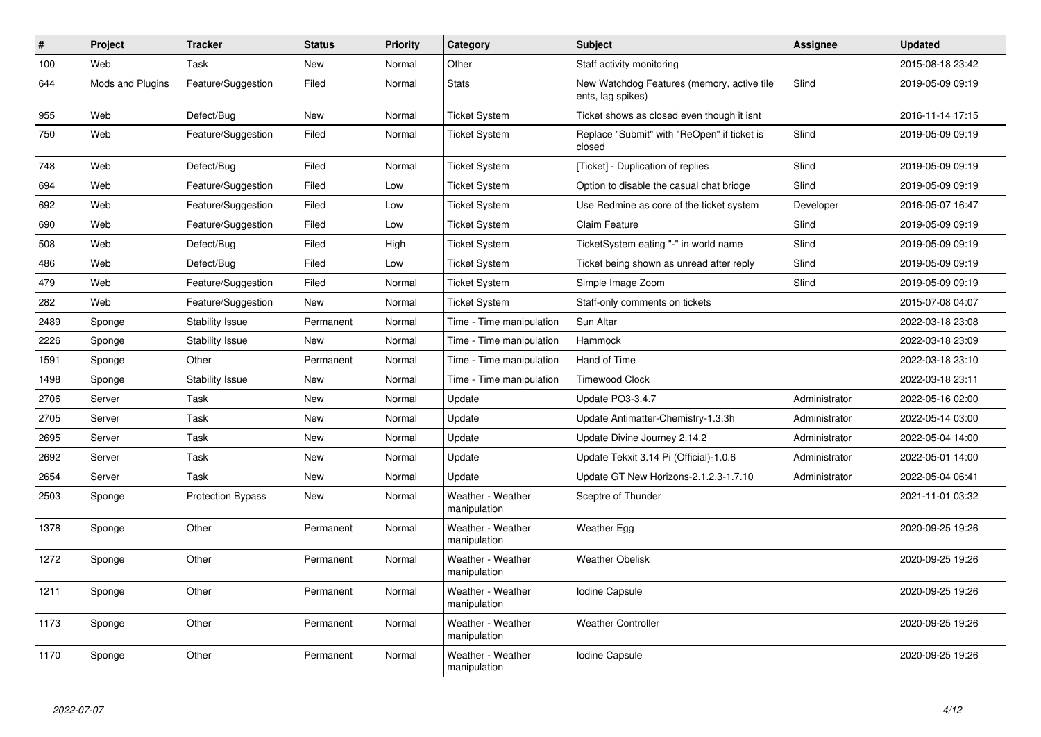| $\sharp$ | Project          | <b>Tracker</b>           | <b>Status</b> | <b>Priority</b> | Category                          | <b>Subject</b>                                                  | Assignee      | <b>Updated</b>   |
|----------|------------------|--------------------------|---------------|-----------------|-----------------------------------|-----------------------------------------------------------------|---------------|------------------|
| 100      | Web              | Task                     | New           | Normal          | Other                             | Staff activity monitoring                                       |               | 2015-08-18 23:42 |
| 644      | Mods and Plugins | Feature/Suggestion       | Filed         | Normal          | <b>Stats</b>                      | New Watchdog Features (memory, active tile<br>ents, lag spikes) | Slind         | 2019-05-09 09:19 |
| 955      | Web              | Defect/Bug               | New           | Normal          | <b>Ticket System</b>              | Ticket shows as closed even though it isnt                      |               | 2016-11-14 17:15 |
| 750      | Web              | Feature/Suggestion       | Filed         | Normal          | <b>Ticket System</b>              | Replace "Submit" with "ReOpen" if ticket is<br>closed           | Slind         | 2019-05-09 09:19 |
| 748      | Web              | Defect/Bug               | Filed         | Normal          | <b>Ticket System</b>              | [Ticket] - Duplication of replies                               | Slind         | 2019-05-09 09:19 |
| 694      | Web              | Feature/Suggestion       | Filed         | Low             | <b>Ticket System</b>              | Option to disable the casual chat bridge                        | Slind         | 2019-05-09 09:19 |
| 692      | Web              | Feature/Suggestion       | Filed         | Low             | <b>Ticket System</b>              | Use Redmine as core of the ticket system                        | Developer     | 2016-05-07 16:47 |
| 690      | Web              | Feature/Suggestion       | Filed         | Low             | <b>Ticket System</b>              | Claim Feature                                                   | Slind         | 2019-05-09 09:19 |
| 508      | Web              | Defect/Bug               | Filed         | High            | <b>Ticket System</b>              | TicketSystem eating "-" in world name                           | Slind         | 2019-05-09 09:19 |
| 486      | Web              | Defect/Bug               | Filed         | Low             | <b>Ticket System</b>              | Ticket being shown as unread after reply                        | Slind         | 2019-05-09 09:19 |
| 479      | Web              | Feature/Suggestion       | Filed         | Normal          | <b>Ticket System</b>              | Simple Image Zoom                                               | Slind         | 2019-05-09 09:19 |
| 282      | Web              | Feature/Suggestion       | New           | Normal          | <b>Ticket System</b>              | Staff-only comments on tickets                                  |               | 2015-07-08 04:07 |
| 2489     | Sponge           | <b>Stability Issue</b>   | Permanent     | Normal          | Time - Time manipulation          | Sun Altar                                                       |               | 2022-03-18 23:08 |
| 2226     | Sponge           | <b>Stability Issue</b>   | New           | Normal          | Time - Time manipulation          | Hammock                                                         |               | 2022-03-18 23:09 |
| 1591     | Sponge           | Other                    | Permanent     | Normal          | Time - Time manipulation          | Hand of Time                                                    |               | 2022-03-18 23:10 |
| 1498     | Sponge           | <b>Stability Issue</b>   | New           | Normal          | Time - Time manipulation          | <b>Timewood Clock</b>                                           |               | 2022-03-18 23:11 |
| 2706     | Server           | Task                     | New           | Normal          | Update                            | Update PO3-3.4.7                                                | Administrator | 2022-05-16 02:00 |
| 2705     | Server           | Task                     | <b>New</b>    | Normal          | Update                            | Update Antimatter-Chemistry-1.3.3h                              | Administrator | 2022-05-14 03:00 |
| 2695     | Server           | Task                     | New           | Normal          | Update                            | Update Divine Journey 2.14.2                                    | Administrator | 2022-05-04 14:00 |
| 2692     | Server           | Task                     | New           | Normal          | Update                            | Update Tekxit 3.14 Pi (Official)-1.0.6                          | Administrator | 2022-05-01 14:00 |
| 2654     | Server           | Task                     | <b>New</b>    | Normal          | Update                            | Update GT New Horizons-2.1.2.3-1.7.10                           | Administrator | 2022-05-04 06:41 |
| 2503     | Sponge           | <b>Protection Bypass</b> | <b>New</b>    | Normal          | Weather - Weather<br>manipulation | Sceptre of Thunder                                              |               | 2021-11-01 03:32 |
| 1378     | Sponge           | Other                    | Permanent     | Normal          | Weather - Weather<br>manipulation | Weather Egg                                                     |               | 2020-09-25 19:26 |
| 1272     | Sponge           | Other                    | Permanent     | Normal          | Weather - Weather<br>manipulation | <b>Weather Obelisk</b>                                          |               | 2020-09-25 19:26 |
| 1211     | Sponge           | Other                    | Permanent     | Normal          | Weather - Weather<br>manipulation | <b>Iodine Capsule</b>                                           |               | 2020-09-25 19:26 |
| 1173     | Sponge           | Other                    | Permanent     | Normal          | Weather - Weather<br>manipulation | <b>Weather Controller</b>                                       |               | 2020-09-25 19:26 |
| 1170     | Sponge           | Other                    | Permanent     | Normal          | Weather - Weather<br>manipulation | Iodine Capsule                                                  |               | 2020-09-25 19:26 |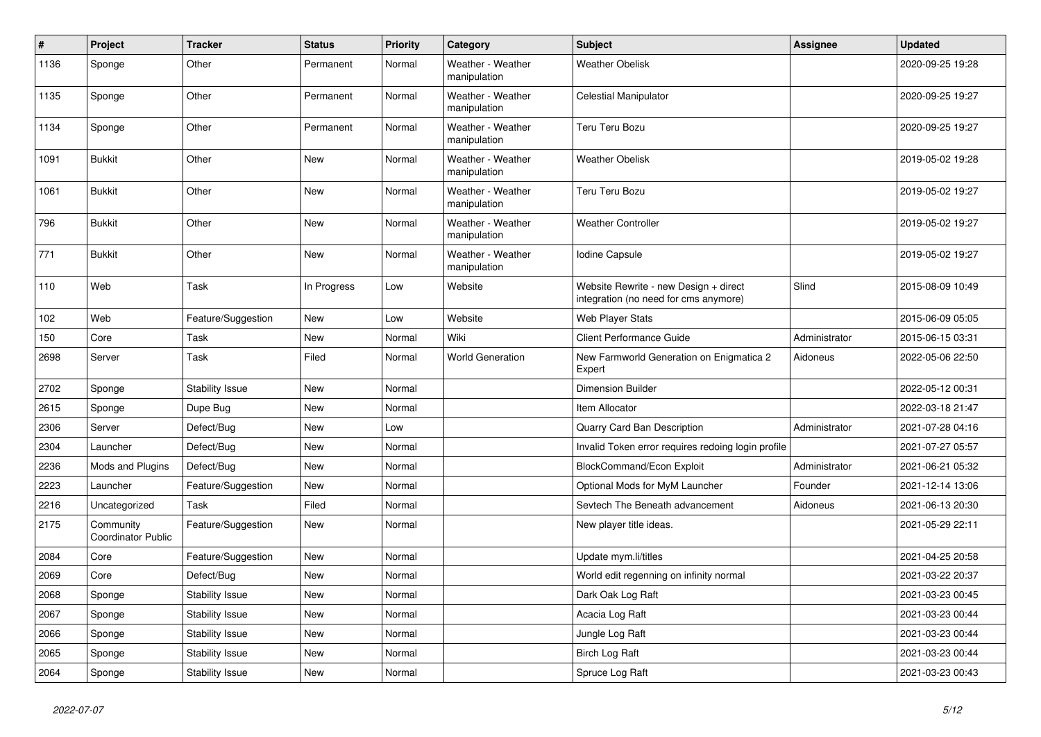| $\vert$ # | Project                                | <b>Tracker</b>         | <b>Status</b> | <b>Priority</b> | Category                          | <b>Subject</b>                                                                 | Assignee      | <b>Updated</b>   |
|-----------|----------------------------------------|------------------------|---------------|-----------------|-----------------------------------|--------------------------------------------------------------------------------|---------------|------------------|
| 1136      | Sponge                                 | Other                  | Permanent     | Normal          | Weather - Weather<br>manipulation | <b>Weather Obelisk</b>                                                         |               | 2020-09-25 19:28 |
| 1135      | Sponge                                 | Other                  | Permanent     | Normal          | Weather - Weather<br>manipulation | <b>Celestial Manipulator</b>                                                   |               | 2020-09-25 19:27 |
| 1134      | Sponge                                 | Other                  | Permanent     | Normal          | Weather - Weather<br>manipulation | Teru Teru Bozu                                                                 |               | 2020-09-25 19:27 |
| 1091      | <b>Bukkit</b>                          | Other                  | New           | Normal          | Weather - Weather<br>manipulation | <b>Weather Obelisk</b>                                                         |               | 2019-05-02 19:28 |
| 1061      | <b>Bukkit</b>                          | Other                  | New           | Normal          | Weather - Weather<br>manipulation | Teru Teru Bozu                                                                 |               | 2019-05-02 19:27 |
| 796       | <b>Bukkit</b>                          | Other                  | New           | Normal          | Weather - Weather<br>manipulation | <b>Weather Controller</b>                                                      |               | 2019-05-02 19:27 |
| 771       | <b>Bukkit</b>                          | Other                  | New           | Normal          | Weather - Weather<br>manipulation | Iodine Capsule                                                                 |               | 2019-05-02 19:27 |
| 110       | Web                                    | Task                   | In Progress   | Low             | Website                           | Website Rewrite - new Design + direct<br>integration (no need for cms anymore) | Slind         | 2015-08-09 10:49 |
| 102       | Web                                    | Feature/Suggestion     | New           | Low             | Website                           | Web Player Stats                                                               |               | 2015-06-09 05:05 |
| 150       | Core                                   | Task                   | New           | Normal          | Wiki                              | <b>Client Performance Guide</b>                                                | Administrator | 2015-06-15 03:31 |
| 2698      | Server                                 | Task                   | Filed         | Normal          | <b>World Generation</b>           | New Farmworld Generation on Enigmatica 2<br>Expert                             | Aidoneus      | 2022-05-06 22:50 |
| 2702      | Sponge                                 | Stability Issue        | New           | Normal          |                                   | Dimension Builder                                                              |               | 2022-05-12 00:31 |
| 2615      | Sponge                                 | Dupe Bug               | New           | Normal          |                                   | Item Allocator                                                                 |               | 2022-03-18 21:47 |
| 2306      | Server                                 | Defect/Bug             | New           | Low             |                                   | Quarry Card Ban Description                                                    | Administrator | 2021-07-28 04:16 |
| 2304      | Launcher                               | Defect/Bug             | New           | Normal          |                                   | Invalid Token error requires redoing login profile                             |               | 2021-07-27 05:57 |
| 2236      | Mods and Plugins                       | Defect/Bug             | New           | Normal          |                                   | BlockCommand/Econ Exploit                                                      | Administrator | 2021-06-21 05:32 |
| 2223      | Launcher                               | Feature/Suggestion     | New           | Normal          |                                   | Optional Mods for MyM Launcher                                                 | Founder       | 2021-12-14 13:06 |
| 2216      | Uncategorized                          | Task                   | Filed         | Normal          |                                   | Sevtech The Beneath advancement                                                | Aidoneus      | 2021-06-13 20:30 |
| 2175      | Community<br><b>Coordinator Public</b> | Feature/Suggestion     | New           | Normal          |                                   | New player title ideas.                                                        |               | 2021-05-29 22:11 |
| 2084      | Core                                   | Feature/Suggestion     | New           | Normal          |                                   | Update mym.li/titles                                                           |               | 2021-04-25 20:58 |
| 2069      | Core                                   | Defect/Bug             | New           | Normal          |                                   | World edit regenning on infinity normal                                        |               | 2021-03-22 20:37 |
| 2068      | Sponge                                 | Stability Issue        | New           | Normal          |                                   | Dark Oak Log Raft                                                              |               | 2021-03-23 00:45 |
| 2067      | Sponge                                 | Stability Issue        | New           | Normal          |                                   | Acacia Log Raft                                                                |               | 2021-03-23 00:44 |
| 2066      | Sponge                                 | Stability Issue        | New           | Normal          |                                   | Jungle Log Raft                                                                |               | 2021-03-23 00:44 |
| 2065      | Sponge                                 | <b>Stability Issue</b> | New           | Normal          |                                   | Birch Log Raft                                                                 |               | 2021-03-23 00:44 |
| 2064      | Sponge                                 | <b>Stability Issue</b> | New           | Normal          |                                   | Spruce Log Raft                                                                |               | 2021-03-23 00:43 |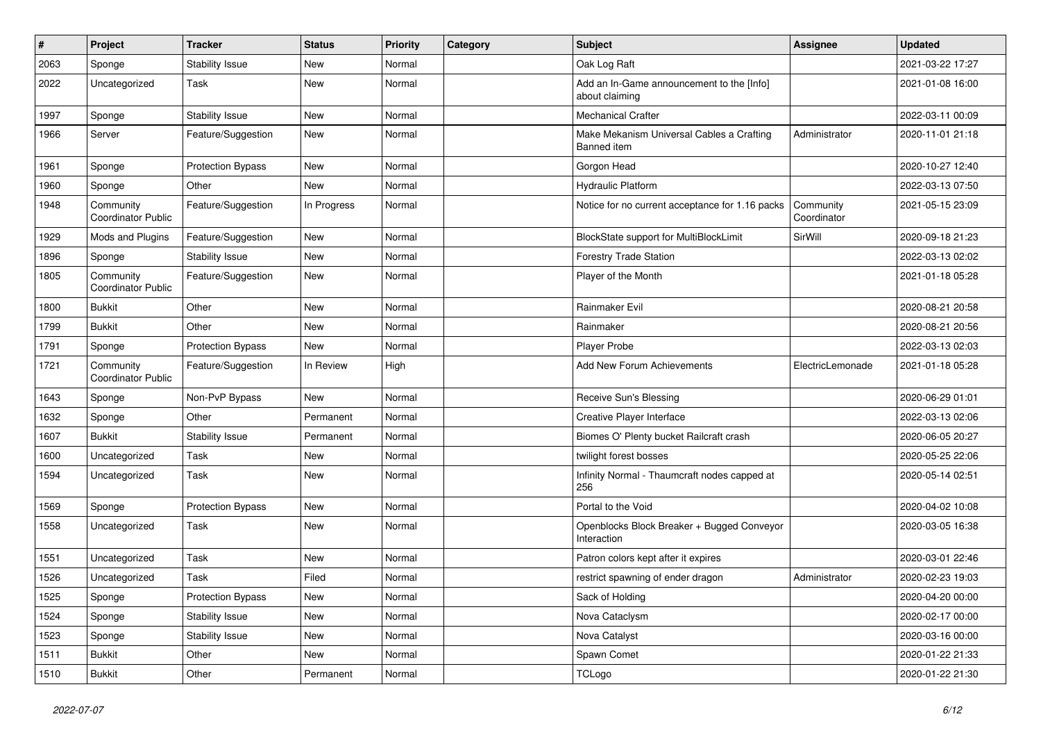| $\#$ | Project                         | <b>Tracker</b>           | <b>Status</b> | <b>Priority</b> | Category | <b>Subject</b>                                              | <b>Assignee</b>          | <b>Updated</b>   |
|------|---------------------------------|--------------------------|---------------|-----------------|----------|-------------------------------------------------------------|--------------------------|------------------|
| 2063 | Sponge                          | <b>Stability Issue</b>   | New           | Normal          |          | Oak Log Raft                                                |                          | 2021-03-22 17:27 |
| 2022 | Uncategorized                   | Task                     | New           | Normal          |          | Add an In-Game announcement to the [Info]<br>about claiming |                          | 2021-01-08 16:00 |
| 1997 | Sponge                          | <b>Stability Issue</b>   | New           | Normal          |          | <b>Mechanical Crafter</b>                                   |                          | 2022-03-11 00:09 |
| 1966 | Server                          | Feature/Suggestion       | New           | Normal          |          | Make Mekanism Universal Cables a Crafting<br>Banned item    | Administrator            | 2020-11-01 21:18 |
| 1961 | Sponge                          | <b>Protection Bypass</b> | New           | Normal          |          | Gorgon Head                                                 |                          | 2020-10-27 12:40 |
| 1960 | Sponge                          | Other                    | New           | Normal          |          | Hydraulic Platform                                          |                          | 2022-03-13 07:50 |
| 1948 | Community<br>Coordinator Public | Feature/Suggestion       | In Progress   | Normal          |          | Notice for no current acceptance for 1.16 packs             | Community<br>Coordinator | 2021-05-15 23:09 |
| 1929 | Mods and Plugins                | Feature/Suggestion       | New           | Normal          |          | BlockState support for MultiBlockLimit                      | SirWill                  | 2020-09-18 21:23 |
| 1896 | Sponge                          | <b>Stability Issue</b>   | New           | Normal          |          | <b>Forestry Trade Station</b>                               |                          | 2022-03-13 02:02 |
| 1805 | Community<br>Coordinator Public | Feature/Suggestion       | New           | Normal          |          | Player of the Month                                         |                          | 2021-01-18 05:28 |
| 1800 | <b>Bukkit</b>                   | Other                    | New           | Normal          |          | Rainmaker Evil                                              |                          | 2020-08-21 20:58 |
| 1799 | <b>Bukkit</b>                   | Other                    | New           | Normal          |          | Rainmaker                                                   |                          | 2020-08-21 20:56 |
| 1791 | Sponge                          | <b>Protection Bypass</b> | New           | Normal          |          | Player Probe                                                |                          | 2022-03-13 02:03 |
| 1721 | Community<br>Coordinator Public | Feature/Suggestion       | In Review     | High            |          | Add New Forum Achievements                                  | ElectricLemonade         | 2021-01-18 05:28 |
| 1643 | Sponge                          | Non-PvP Bypass           | New           | Normal          |          | Receive Sun's Blessing                                      |                          | 2020-06-29 01:01 |
| 1632 | Sponge                          | Other                    | Permanent     | Normal          |          | Creative Player Interface                                   |                          | 2022-03-13 02:06 |
| 1607 | <b>Bukkit</b>                   | <b>Stability Issue</b>   | Permanent     | Normal          |          | Biomes O' Plenty bucket Railcraft crash                     |                          | 2020-06-05 20:27 |
| 1600 | Uncategorized                   | Task                     | <b>New</b>    | Normal          |          | twilight forest bosses                                      |                          | 2020-05-25 22:06 |
| 1594 | Uncategorized                   | Task                     | New           | Normal          |          | Infinity Normal - Thaumcraft nodes capped at<br>256         |                          | 2020-05-14 02:51 |
| 1569 | Sponge                          | <b>Protection Bypass</b> | New           | Normal          |          | Portal to the Void                                          |                          | 2020-04-02 10:08 |
| 1558 | Uncategorized                   | Task                     | New           | Normal          |          | Openblocks Block Breaker + Bugged Conveyor<br>Interaction   |                          | 2020-03-05 16:38 |
| 1551 | Uncategorized                   | Task                     | New           | Normal          |          | Patron colors kept after it expires                         |                          | 2020-03-01 22:46 |
| 1526 | Uncategorized                   | Task                     | Filed         | Normal          |          | restrict spawning of ender dragon                           | Administrator            | 2020-02-23 19:03 |
| 1525 | Sponge                          | <b>Protection Bypass</b> | New           | Normal          |          | Sack of Holding                                             |                          | 2020-04-20 00:00 |
| 1524 | Sponge                          | <b>Stability Issue</b>   | New           | Normal          |          | Nova Cataclysm                                              |                          | 2020-02-17 00:00 |
| 1523 | Sponge                          | <b>Stability Issue</b>   | New           | Normal          |          | Nova Catalyst                                               |                          | 2020-03-16 00:00 |
| 1511 | <b>Bukkit</b>                   | Other                    | New           | Normal          |          | Spawn Comet                                                 |                          | 2020-01-22 21:33 |
| 1510 | <b>Bukkit</b>                   | Other                    | Permanent     | Normal          |          | TCLogo                                                      |                          | 2020-01-22 21:30 |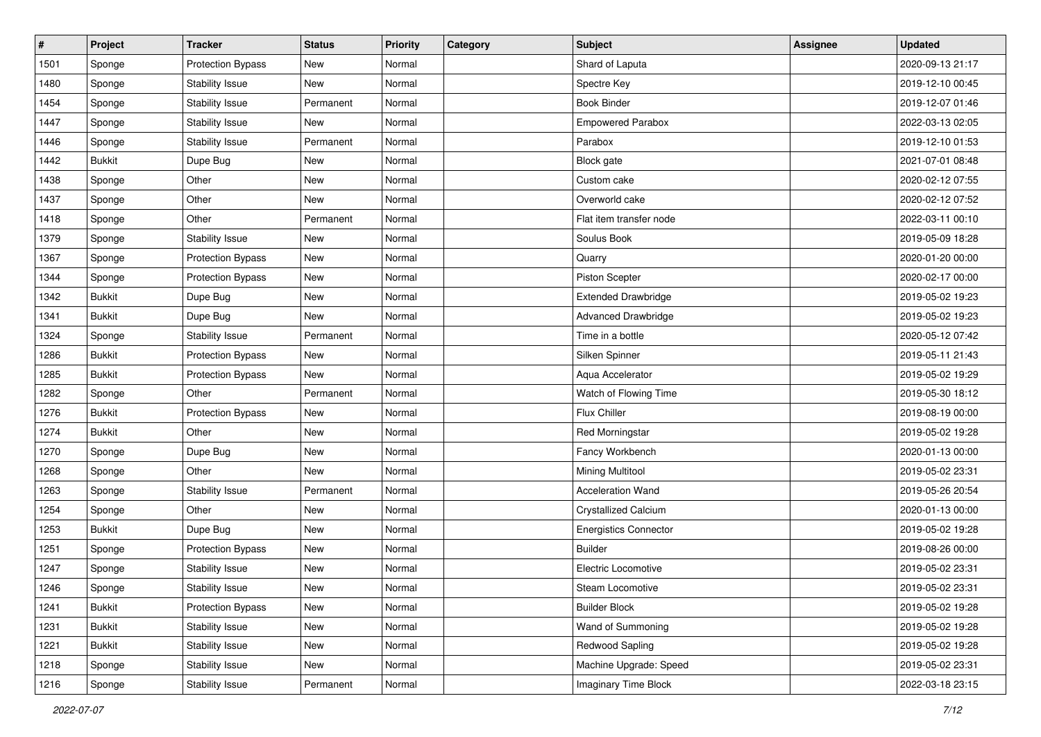| $\vert$ # | Project       | <b>Tracker</b>           | <b>Status</b> | <b>Priority</b> | Category | <b>Subject</b>               | <b>Assignee</b> | <b>Updated</b>   |
|-----------|---------------|--------------------------|---------------|-----------------|----------|------------------------------|-----------------|------------------|
| 1501      | Sponge        | <b>Protection Bypass</b> | New           | Normal          |          | Shard of Laputa              |                 | 2020-09-13 21:17 |
| 1480      | Sponge        | Stability Issue          | New           | Normal          |          | Spectre Key                  |                 | 2019-12-10 00:45 |
| 1454      | Sponge        | Stability Issue          | Permanent     | Normal          |          | <b>Book Binder</b>           |                 | 2019-12-07 01:46 |
| 1447      | Sponge        | Stability Issue          | New           | Normal          |          | <b>Empowered Parabox</b>     |                 | 2022-03-13 02:05 |
| 1446      | Sponge        | Stability Issue          | Permanent     | Normal          |          | Parabox                      |                 | 2019-12-10 01:53 |
| 1442      | <b>Bukkit</b> | Dupe Bug                 | New           | Normal          |          | <b>Block</b> gate            |                 | 2021-07-01 08:48 |
| 1438      | Sponge        | Other                    | New           | Normal          |          | Custom cake                  |                 | 2020-02-12 07:55 |
| 1437      | Sponge        | Other                    | New           | Normal          |          | Overworld cake               |                 | 2020-02-12 07:52 |
| 1418      | Sponge        | Other                    | Permanent     | Normal          |          | Flat item transfer node      |                 | 2022-03-11 00:10 |
| 1379      | Sponge        | Stability Issue          | New           | Normal          |          | Soulus Book                  |                 | 2019-05-09 18:28 |
| 1367      | Sponge        | <b>Protection Bypass</b> | New           | Normal          |          | Quarry                       |                 | 2020-01-20 00:00 |
| 1344      | Sponge        | <b>Protection Bypass</b> | New           | Normal          |          | <b>Piston Scepter</b>        |                 | 2020-02-17 00:00 |
| 1342      | <b>Bukkit</b> | Dupe Bug                 | New           | Normal          |          | <b>Extended Drawbridge</b>   |                 | 2019-05-02 19:23 |
| 1341      | <b>Bukkit</b> | Dupe Bug                 | New           | Normal          |          | <b>Advanced Drawbridge</b>   |                 | 2019-05-02 19:23 |
| 1324      | Sponge        | Stability Issue          | Permanent     | Normal          |          | Time in a bottle             |                 | 2020-05-12 07:42 |
| 1286      | <b>Bukkit</b> | <b>Protection Bypass</b> | New           | Normal          |          | Silken Spinner               |                 | 2019-05-11 21:43 |
| 1285      | <b>Bukkit</b> | <b>Protection Bypass</b> | New           | Normal          |          | Aqua Accelerator             |                 | 2019-05-02 19:29 |
| 1282      | Sponge        | Other                    | Permanent     | Normal          |          | Watch of Flowing Time        |                 | 2019-05-30 18:12 |
| 1276      | <b>Bukkit</b> | <b>Protection Bypass</b> | New           | Normal          |          | Flux Chiller                 |                 | 2019-08-19 00:00 |
| 1274      | <b>Bukkit</b> | Other                    | New           | Normal          |          | <b>Red Morningstar</b>       |                 | 2019-05-02 19:28 |
| 1270      | Sponge        | Dupe Bug                 | New           | Normal          |          | Fancy Workbench              |                 | 2020-01-13 00:00 |
| 1268      | Sponge        | Other                    | New           | Normal          |          | <b>Mining Multitool</b>      |                 | 2019-05-02 23:31 |
| 1263      | Sponge        | Stability Issue          | Permanent     | Normal          |          | <b>Acceleration Wand</b>     |                 | 2019-05-26 20:54 |
| 1254      | Sponge        | Other                    | New           | Normal          |          | <b>Crystallized Calcium</b>  |                 | 2020-01-13 00:00 |
| 1253      | <b>Bukkit</b> | Dupe Bug                 | New           | Normal          |          | <b>Energistics Connector</b> |                 | 2019-05-02 19:28 |
| 1251      | Sponge        | Protection Bypass        | New           | Normal          |          | <b>Builder</b>               |                 | 2019-08-26 00:00 |
| 1247      | Sponge        | <b>Stability Issue</b>   | New           | Normal          |          | Electric Locomotive          |                 | 2019-05-02 23:31 |
| 1246      | Sponge        | Stability Issue          | New           | Normal          |          | Steam Locomotive             |                 | 2019-05-02 23:31 |
| 1241      | <b>Bukkit</b> | <b>Protection Bypass</b> | New           | Normal          |          | <b>Builder Block</b>         |                 | 2019-05-02 19:28 |
| 1231      | <b>Bukkit</b> | Stability Issue          | New           | Normal          |          | Wand of Summoning            |                 | 2019-05-02 19:28 |
| 1221      | <b>Bukkit</b> | Stability Issue          | New           | Normal          |          | Redwood Sapling              |                 | 2019-05-02 19:28 |
| 1218      | Sponge        | Stability Issue          | New           | Normal          |          | Machine Upgrade: Speed       |                 | 2019-05-02 23:31 |
| 1216      | Sponge        | Stability Issue          | Permanent     | Normal          |          | <b>Imaginary Time Block</b>  |                 | 2022-03-18 23:15 |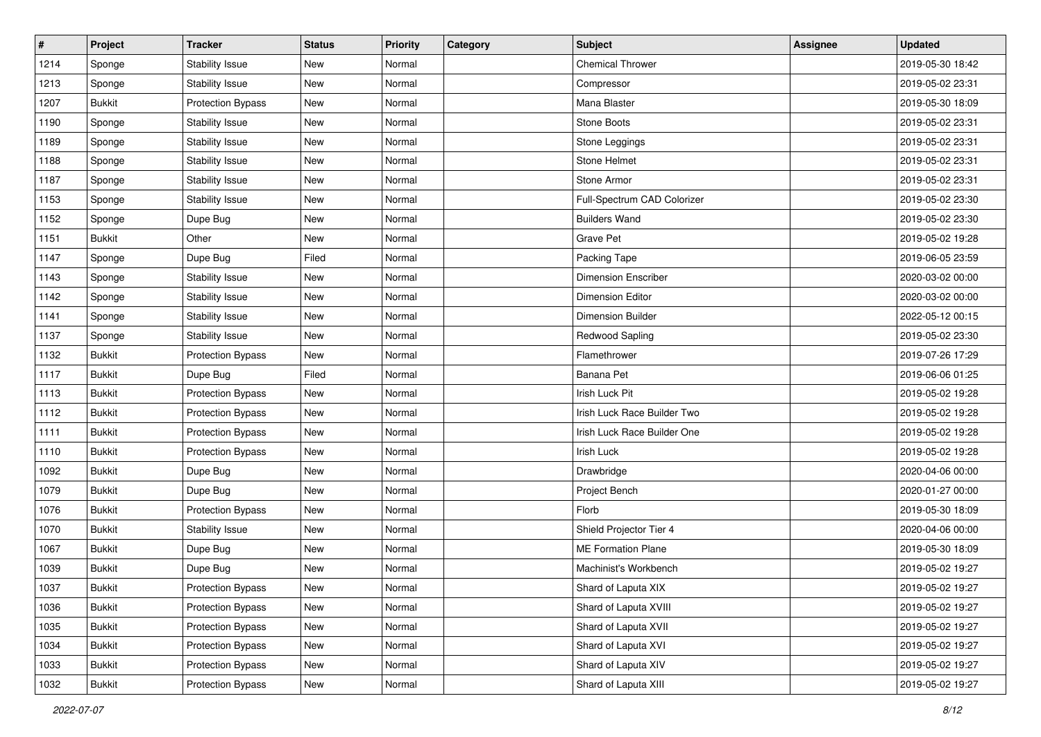| $\vert$ # | Project       | <b>Tracker</b>           | <b>Status</b> | <b>Priority</b> | Category | Subject                     | <b>Assignee</b> | <b>Updated</b>   |
|-----------|---------------|--------------------------|---------------|-----------------|----------|-----------------------------|-----------------|------------------|
| 1214      | Sponge        | Stability Issue          | New           | Normal          |          | <b>Chemical Thrower</b>     |                 | 2019-05-30 18:42 |
| 1213      | Sponge        | Stability Issue          | New           | Normal          |          | Compressor                  |                 | 2019-05-02 23:31 |
| 1207      | <b>Bukkit</b> | <b>Protection Bypass</b> | New           | Normal          |          | Mana Blaster                |                 | 2019-05-30 18:09 |
| 1190      | Sponge        | Stability Issue          | New           | Normal          |          | Stone Boots                 |                 | 2019-05-02 23:31 |
| 1189      | Sponge        | Stability Issue          | New           | Normal          |          | Stone Leggings              |                 | 2019-05-02 23:31 |
| 1188      | Sponge        | Stability Issue          | New           | Normal          |          | Stone Helmet                |                 | 2019-05-02 23:31 |
| 1187      | Sponge        | <b>Stability Issue</b>   | New           | Normal          |          | Stone Armor                 |                 | 2019-05-02 23:31 |
| 1153      | Sponge        | <b>Stability Issue</b>   | New           | Normal          |          | Full-Spectrum CAD Colorizer |                 | 2019-05-02 23:30 |
| 1152      | Sponge        | Dupe Bug                 | New           | Normal          |          | <b>Builders Wand</b>        |                 | 2019-05-02 23:30 |
| 1151      | <b>Bukkit</b> | Other                    | New           | Normal          |          | <b>Grave Pet</b>            |                 | 2019-05-02 19:28 |
| 1147      | Sponge        | Dupe Bug                 | Filed         | Normal          |          | Packing Tape                |                 | 2019-06-05 23:59 |
| 1143      | Sponge        | Stability Issue          | New           | Normal          |          | <b>Dimension Enscriber</b>  |                 | 2020-03-02 00:00 |
| 1142      | Sponge        | Stability Issue          | New           | Normal          |          | <b>Dimension Editor</b>     |                 | 2020-03-02 00:00 |
| 1141      | Sponge        | <b>Stability Issue</b>   | New           | Normal          |          | <b>Dimension Builder</b>    |                 | 2022-05-12 00:15 |
| 1137      | Sponge        | Stability Issue          | New           | Normal          |          | <b>Redwood Sapling</b>      |                 | 2019-05-02 23:30 |
| 1132      | <b>Bukkit</b> | <b>Protection Bypass</b> | New           | Normal          |          | Flamethrower                |                 | 2019-07-26 17:29 |
| 1117      | <b>Bukkit</b> | Dupe Bug                 | Filed         | Normal          |          | Banana Pet                  |                 | 2019-06-06 01:25 |
| 1113      | <b>Bukkit</b> | <b>Protection Bypass</b> | New           | Normal          |          | Irish Luck Pit              |                 | 2019-05-02 19:28 |
| 1112      | <b>Bukkit</b> | <b>Protection Bypass</b> | New           | Normal          |          | Irish Luck Race Builder Two |                 | 2019-05-02 19:28 |
| 1111      | <b>Bukkit</b> | Protection Bypass        | New           | Normal          |          | Irish Luck Race Builder One |                 | 2019-05-02 19:28 |
| 1110      | <b>Bukkit</b> | <b>Protection Bypass</b> | New           | Normal          |          | Irish Luck                  |                 | 2019-05-02 19:28 |
| 1092      | <b>Bukkit</b> | Dupe Bug                 | New           | Normal          |          | Drawbridge                  |                 | 2020-04-06 00:00 |
| 1079      | <b>Bukkit</b> | Dupe Bug                 | New           | Normal          |          | Project Bench               |                 | 2020-01-27 00:00 |
| 1076      | <b>Bukkit</b> | <b>Protection Bypass</b> | New           | Normal          |          | Florb                       |                 | 2019-05-30 18:09 |
| 1070      | <b>Bukkit</b> | Stability Issue          | New           | Normal          |          | Shield Projector Tier 4     |                 | 2020-04-06 00:00 |
| 1067      | <b>Bukkit</b> | Dupe Bug                 | New           | Normal          |          | <b>ME Formation Plane</b>   |                 | 2019-05-30 18:09 |
| 1039      | <b>Bukkit</b> | Dupe Bug                 | New           | Normal          |          | Machinist's Workbench       |                 | 2019-05-02 19:27 |
| 1037      | <b>Bukkit</b> | Protection Bypass        | New           | Normal          |          | Shard of Laputa XIX         |                 | 2019-05-02 19:27 |
| 1036      | <b>Bukkit</b> | <b>Protection Bypass</b> | New           | Normal          |          | Shard of Laputa XVIII       |                 | 2019-05-02 19:27 |
| 1035      | <b>Bukkit</b> | Protection Bypass        | New           | Normal          |          | Shard of Laputa XVII        |                 | 2019-05-02 19:27 |
| 1034      | <b>Bukkit</b> | <b>Protection Bypass</b> | New           | Normal          |          | Shard of Laputa XVI         |                 | 2019-05-02 19:27 |
| 1033      | <b>Bukkit</b> | <b>Protection Bypass</b> | New           | Normal          |          | Shard of Laputa XIV         |                 | 2019-05-02 19:27 |
| 1032      | <b>Bukkit</b> | Protection Bypass        | New           | Normal          |          | Shard of Laputa XIII        |                 | 2019-05-02 19:27 |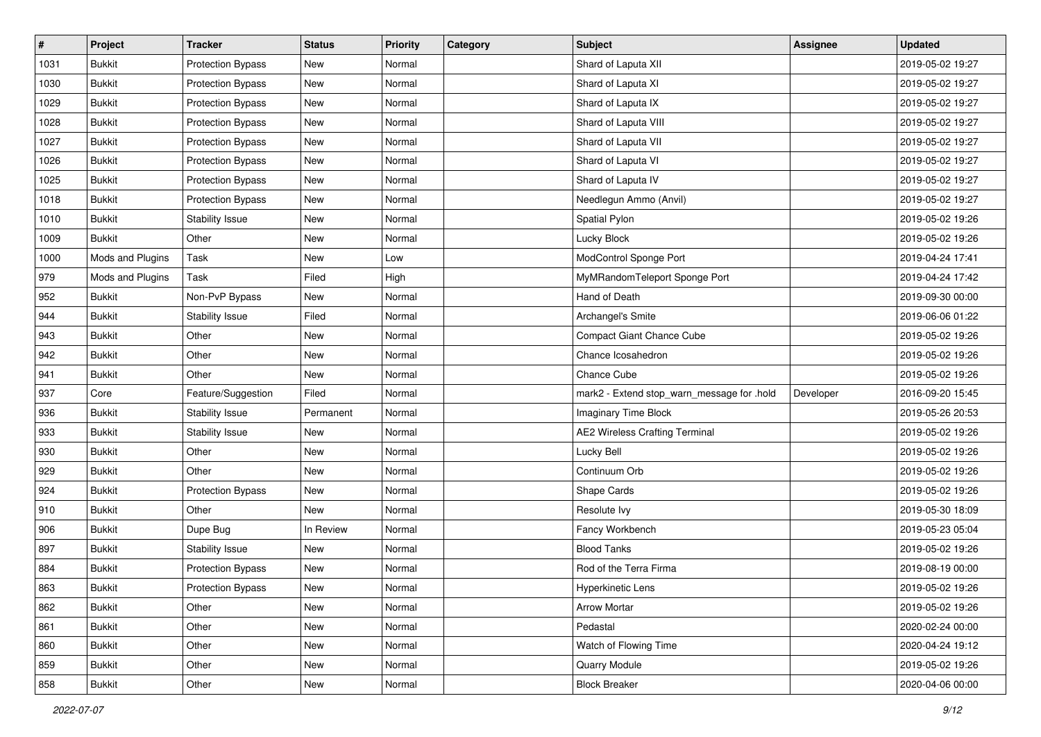| $\vert$ # | Project          | <b>Tracker</b>           | <b>Status</b> | <b>Priority</b> | Category | <b>Subject</b>                             | <b>Assignee</b> | <b>Updated</b>   |
|-----------|------------------|--------------------------|---------------|-----------------|----------|--------------------------------------------|-----------------|------------------|
| 1031      | <b>Bukkit</b>    | <b>Protection Bypass</b> | New           | Normal          |          | Shard of Laputa XII                        |                 | 2019-05-02 19:27 |
| 1030      | <b>Bukkit</b>    | Protection Bypass        | New           | Normal          |          | Shard of Laputa XI                         |                 | 2019-05-02 19:27 |
| 1029      | <b>Bukkit</b>    | <b>Protection Bypass</b> | New           | Normal          |          | Shard of Laputa IX                         |                 | 2019-05-02 19:27 |
| 1028      | <b>Bukkit</b>    | <b>Protection Bypass</b> | New           | Normal          |          | Shard of Laputa VIII                       |                 | 2019-05-02 19:27 |
| 1027      | <b>Bukkit</b>    | <b>Protection Bypass</b> | New           | Normal          |          | Shard of Laputa VII                        |                 | 2019-05-02 19:27 |
| 1026      | <b>Bukkit</b>    | <b>Protection Bypass</b> | New           | Normal          |          | Shard of Laputa VI                         |                 | 2019-05-02 19:27 |
| 1025      | <b>Bukkit</b>    | <b>Protection Bypass</b> | New           | Normal          |          | Shard of Laputa IV                         |                 | 2019-05-02 19:27 |
| 1018      | <b>Bukkit</b>    | Protection Bypass        | New           | Normal          |          | Needlegun Ammo (Anvil)                     |                 | 2019-05-02 19:27 |
| 1010      | <b>Bukkit</b>    | Stability Issue          | New           | Normal          |          | Spatial Pylon                              |                 | 2019-05-02 19:26 |
| 1009      | <b>Bukkit</b>    | Other                    | New           | Normal          |          | Lucky Block                                |                 | 2019-05-02 19:26 |
| 1000      | Mods and Plugins | Task                     | New           | Low             |          | ModControl Sponge Port                     |                 | 2019-04-24 17:41 |
| 979       | Mods and Plugins | Task                     | Filed         | High            |          | MyMRandomTeleport Sponge Port              |                 | 2019-04-24 17:42 |
| 952       | <b>Bukkit</b>    | Non-PvP Bypass           | New           | Normal          |          | Hand of Death                              |                 | 2019-09-30 00:00 |
| 944       | <b>Bukkit</b>    | Stability Issue          | Filed         | Normal          |          | Archangel's Smite                          |                 | 2019-06-06 01:22 |
| 943       | <b>Bukkit</b>    | Other                    | New           | Normal          |          | <b>Compact Giant Chance Cube</b>           |                 | 2019-05-02 19:26 |
| 942       | <b>Bukkit</b>    | Other                    | New           | Normal          |          | Chance Icosahedron                         |                 | 2019-05-02 19:26 |
| 941       | <b>Bukkit</b>    | Other                    | New           | Normal          |          | Chance Cube                                |                 | 2019-05-02 19:26 |
| 937       | Core             | Feature/Suggestion       | Filed         | Normal          |          | mark2 - Extend stop_warn_message for .hold | Developer       | 2016-09-20 15:45 |
| 936       | <b>Bukkit</b>    | Stability Issue          | Permanent     | Normal          |          | <b>Imaginary Time Block</b>                |                 | 2019-05-26 20:53 |
| 933       | <b>Bukkit</b>    | Stability Issue          | New           | Normal          |          | <b>AE2 Wireless Crafting Terminal</b>      |                 | 2019-05-02 19:26 |
| 930       | <b>Bukkit</b>    | Other                    | New           | Normal          |          | Lucky Bell                                 |                 | 2019-05-02 19:26 |
| 929       | <b>Bukkit</b>    | Other                    | New           | Normal          |          | Continuum Orb                              |                 | 2019-05-02 19:26 |
| 924       | <b>Bukkit</b>    | <b>Protection Bypass</b> | New           | Normal          |          | Shape Cards                                |                 | 2019-05-02 19:26 |
| 910       | <b>Bukkit</b>    | Other                    | New           | Normal          |          | Resolute Ivy                               |                 | 2019-05-30 18:09 |
| 906       | <b>Bukkit</b>    | Dupe Bug                 | In Review     | Normal          |          | Fancy Workbench                            |                 | 2019-05-23 05:04 |
| 897       | <b>Bukkit</b>    | Stability Issue          | <b>New</b>    | Normal          |          | <b>Blood Tanks</b>                         |                 | 2019-05-02 19:26 |
| 884       | <b>Bukkit</b>    | <b>Protection Bypass</b> | New           | Normal          |          | Rod of the Terra Firma                     |                 | 2019-08-19 00:00 |
| 863       | <b>Bukkit</b>    | Protection Bypass        | New           | Normal          |          | Hyperkinetic Lens                          |                 | 2019-05-02 19:26 |
| 862       | Bukkit           | Other                    | New           | Normal          |          | <b>Arrow Mortar</b>                        |                 | 2019-05-02 19:26 |
| 861       | Bukkit           | Other                    | New           | Normal          |          | Pedastal                                   |                 | 2020-02-24 00:00 |
| 860       | Bukkit           | Other                    | New           | Normal          |          | Watch of Flowing Time                      |                 | 2020-04-24 19:12 |
| 859       | Bukkit           | Other                    | New           | Normal          |          | Quarry Module                              |                 | 2019-05-02 19:26 |
| 858       | <b>Bukkit</b>    | Other                    | New           | Normal          |          | <b>Block Breaker</b>                       |                 | 2020-04-06 00:00 |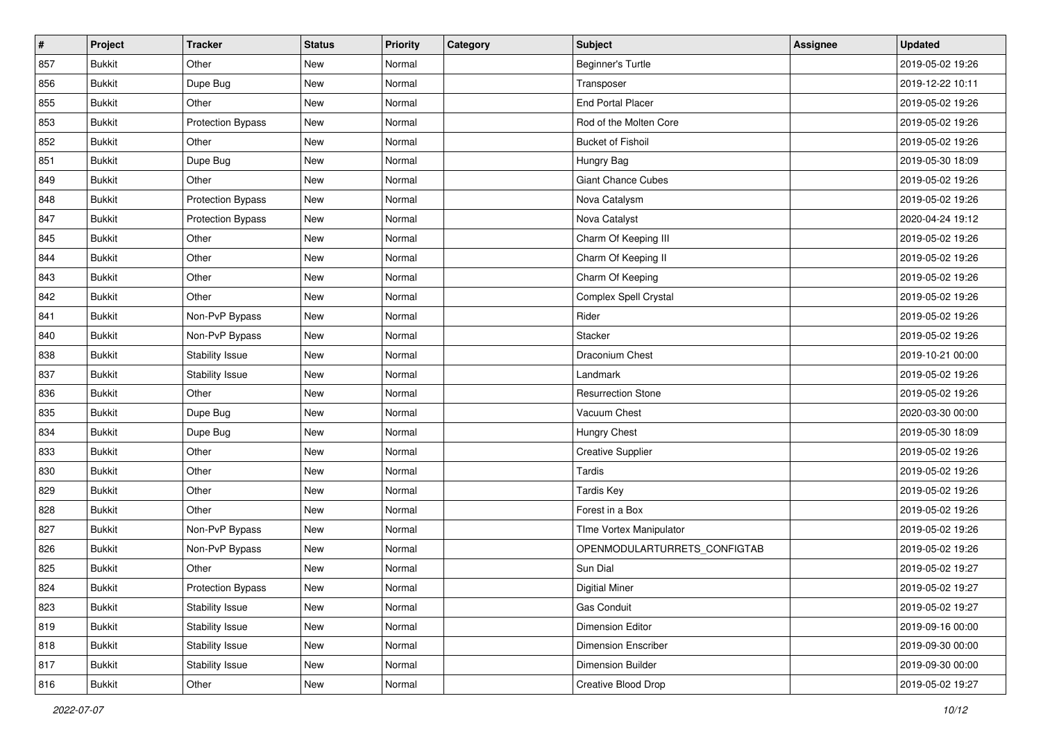| $\vert$ # | Project       | <b>Tracker</b>           | <b>Status</b> | <b>Priority</b> | Category | <b>Subject</b>               | <b>Assignee</b> | <b>Updated</b>   |
|-----------|---------------|--------------------------|---------------|-----------------|----------|------------------------------|-----------------|------------------|
| 857       | <b>Bukkit</b> | Other                    | New           | Normal          |          | <b>Beginner's Turtle</b>     |                 | 2019-05-02 19:26 |
| 856       | <b>Bukkit</b> | Dupe Bug                 | New           | Normal          |          | Transposer                   |                 | 2019-12-22 10:11 |
| 855       | <b>Bukkit</b> | Other                    | New           | Normal          |          | <b>End Portal Placer</b>     |                 | 2019-05-02 19:26 |
| 853       | <b>Bukkit</b> | <b>Protection Bypass</b> | New           | Normal          |          | Rod of the Molten Core       |                 | 2019-05-02 19:26 |
| 852       | <b>Bukkit</b> | Other                    | New           | Normal          |          | <b>Bucket of Fishoil</b>     |                 | 2019-05-02 19:26 |
| 851       | <b>Bukkit</b> | Dupe Bug                 | New           | Normal          |          | Hungry Bag                   |                 | 2019-05-30 18:09 |
| 849       | <b>Bukkit</b> | Other                    | New           | Normal          |          | <b>Giant Chance Cubes</b>    |                 | 2019-05-02 19:26 |
| 848       | <b>Bukkit</b> | Protection Bypass        | New           | Normal          |          | Nova Catalysm                |                 | 2019-05-02 19:26 |
| 847       | <b>Bukkit</b> | <b>Protection Bypass</b> | New           | Normal          |          | Nova Catalyst                |                 | 2020-04-24 19:12 |
| 845       | <b>Bukkit</b> | Other                    | New           | Normal          |          | Charm Of Keeping III         |                 | 2019-05-02 19:26 |
| 844       | <b>Bukkit</b> | Other                    | New           | Normal          |          | Charm Of Keeping II          |                 | 2019-05-02 19:26 |
| 843       | <b>Bukkit</b> | Other                    | New           | Normal          |          | Charm Of Keeping             |                 | 2019-05-02 19:26 |
| 842       | <b>Bukkit</b> | Other                    | New           | Normal          |          | Complex Spell Crystal        |                 | 2019-05-02 19:26 |
| 841       | <b>Bukkit</b> | Non-PvP Bypass           | New           | Normal          |          | Rider                        |                 | 2019-05-02 19:26 |
| 840       | <b>Bukkit</b> | Non-PvP Bypass           | New           | Normal          |          | Stacker                      |                 | 2019-05-02 19:26 |
| 838       | <b>Bukkit</b> | Stability Issue          | New           | Normal          |          | Draconium Chest              |                 | 2019-10-21 00:00 |
| 837       | <b>Bukkit</b> | Stability Issue          | New           | Normal          |          | Landmark                     |                 | 2019-05-02 19:26 |
| 836       | <b>Bukkit</b> | Other                    | New           | Normal          |          | <b>Resurrection Stone</b>    |                 | 2019-05-02 19:26 |
| 835       | <b>Bukkit</b> | Dupe Bug                 | New           | Normal          |          | Vacuum Chest                 |                 | 2020-03-30 00:00 |
| 834       | <b>Bukkit</b> | Dupe Bug                 | New           | Normal          |          | <b>Hungry Chest</b>          |                 | 2019-05-30 18:09 |
| 833       | <b>Bukkit</b> | Other                    | New           | Normal          |          | <b>Creative Supplier</b>     |                 | 2019-05-02 19:26 |
| 830       | <b>Bukkit</b> | Other                    | New           | Normal          |          | Tardis                       |                 | 2019-05-02 19:26 |
| 829       | <b>Bukkit</b> | Other                    | New           | Normal          |          | <b>Tardis Key</b>            |                 | 2019-05-02 19:26 |
| 828       | <b>Bukkit</b> | Other                    | New           | Normal          |          | Forest in a Box              |                 | 2019-05-02 19:26 |
| 827       | <b>Bukkit</b> | Non-PvP Bypass           | New           | Normal          |          | TIme Vortex Manipulator      |                 | 2019-05-02 19:26 |
| 826       | <b>Bukkit</b> | Non-PvP Bypass           | New           | Normal          |          | OPENMODULARTURRETS_CONFIGTAB |                 | 2019-05-02 19:26 |
| 825       | <b>Bukkit</b> | Other                    | New           | Normal          |          | Sun Dial                     |                 | 2019-05-02 19:27 |
| 824       | <b>Bukkit</b> | Protection Bypass        | New           | Normal          |          | <b>Digitial Miner</b>        |                 | 2019-05-02 19:27 |
| 823       | <b>Bukkit</b> | <b>Stability Issue</b>   | New           | Normal          |          | Gas Conduit                  |                 | 2019-05-02 19:27 |
| 819       | Bukkit        | Stability Issue          | New           | Normal          |          | <b>Dimension Editor</b>      |                 | 2019-09-16 00:00 |
| 818       | <b>Bukkit</b> | Stability Issue          | New           | Normal          |          | <b>Dimension Enscriber</b>   |                 | 2019-09-30 00:00 |
| 817       | <b>Bukkit</b> | Stability Issue          | New           | Normal          |          | <b>Dimension Builder</b>     |                 | 2019-09-30 00:00 |
| 816       | <b>Bukkit</b> | Other                    | New           | Normal          |          | Creative Blood Drop          |                 | 2019-05-02 19:27 |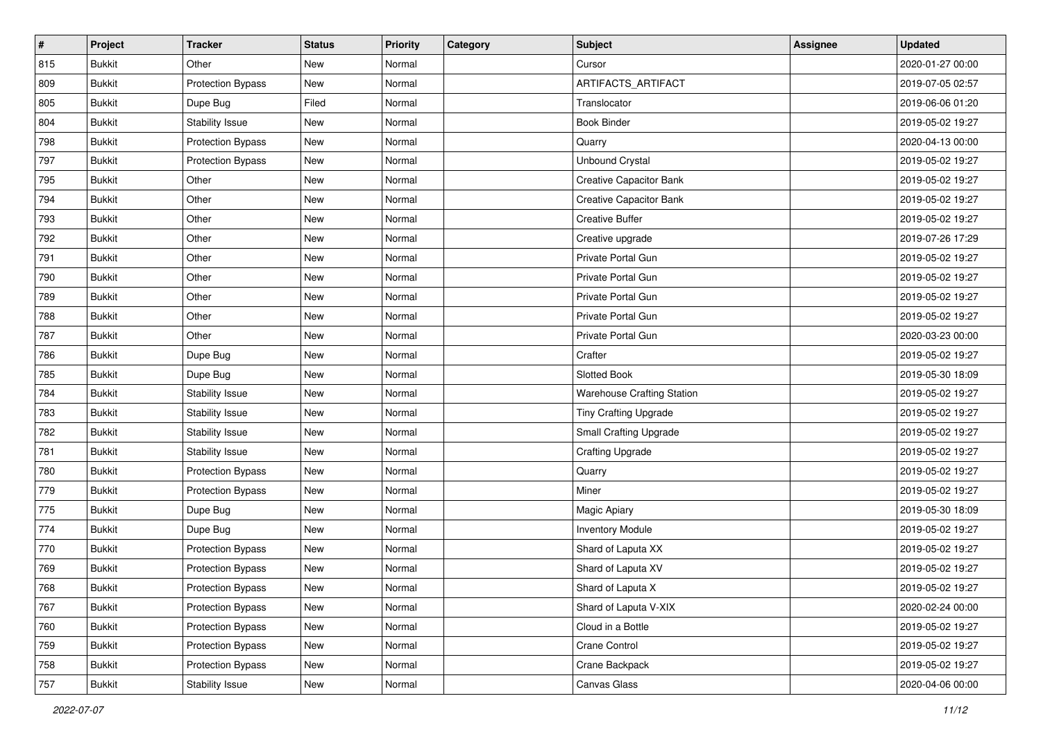| $\vert$ # | Project       | <b>Tracker</b>           | <b>Status</b> | <b>Priority</b> | <b>Category</b> | Subject                           | <b>Assignee</b> | <b>Updated</b>   |
|-----------|---------------|--------------------------|---------------|-----------------|-----------------|-----------------------------------|-----------------|------------------|
| 815       | <b>Bukkit</b> | Other                    | New           | Normal          |                 | Cursor                            |                 | 2020-01-27 00:00 |
| 809       | <b>Bukkit</b> | <b>Protection Bypass</b> | New           | Normal          |                 | ARTIFACTS_ARTIFACT                |                 | 2019-07-05 02:57 |
| 805       | <b>Bukkit</b> | Dupe Bug                 | Filed         | Normal          |                 | Translocator                      |                 | 2019-06-06 01:20 |
| 804       | <b>Bukkit</b> | Stability Issue          | New           | Normal          |                 | <b>Book Binder</b>                |                 | 2019-05-02 19:27 |
| 798       | <b>Bukkit</b> | Protection Bypass        | New           | Normal          |                 | Quarry                            |                 | 2020-04-13 00:00 |
| 797       | <b>Bukkit</b> | <b>Protection Bypass</b> | New           | Normal          |                 | <b>Unbound Crystal</b>            |                 | 2019-05-02 19:27 |
| 795       | <b>Bukkit</b> | Other                    | New           | Normal          |                 | <b>Creative Capacitor Bank</b>    |                 | 2019-05-02 19:27 |
| 794       | <b>Bukkit</b> | Other                    | New           | Normal          |                 | <b>Creative Capacitor Bank</b>    |                 | 2019-05-02 19:27 |
| 793       | <b>Bukkit</b> | Other                    | New           | Normal          |                 | <b>Creative Buffer</b>            |                 | 2019-05-02 19:27 |
| 792       | <b>Bukkit</b> | Other                    | New           | Normal          |                 | Creative upgrade                  |                 | 2019-07-26 17:29 |
| 791       | <b>Bukkit</b> | Other                    | New           | Normal          |                 | Private Portal Gun                |                 | 2019-05-02 19:27 |
| 790       | <b>Bukkit</b> | Other                    | New           | Normal          |                 | Private Portal Gun                |                 | 2019-05-02 19:27 |
| 789       | <b>Bukkit</b> | Other                    | New           | Normal          |                 | Private Portal Gun                |                 | 2019-05-02 19:27 |
| 788       | <b>Bukkit</b> | Other                    | New           | Normal          |                 | Private Portal Gun                |                 | 2019-05-02 19:27 |
| 787       | <b>Bukkit</b> | Other                    | New           | Normal          |                 | Private Portal Gun                |                 | 2020-03-23 00:00 |
| 786       | <b>Bukkit</b> | Dupe Bug                 | New           | Normal          |                 | Crafter                           |                 | 2019-05-02 19:27 |
| 785       | <b>Bukkit</b> | Dupe Bug                 | New           | Normal          |                 | Slotted Book                      |                 | 2019-05-30 18:09 |
| 784       | <b>Bukkit</b> | Stability Issue          | New           | Normal          |                 | <b>Warehouse Crafting Station</b> |                 | 2019-05-02 19:27 |
| 783       | <b>Bukkit</b> | Stability Issue          | New           | Normal          |                 | <b>Tiny Crafting Upgrade</b>      |                 | 2019-05-02 19:27 |
| 782       | <b>Bukkit</b> | Stability Issue          | New           | Normal          |                 | <b>Small Crafting Upgrade</b>     |                 | 2019-05-02 19:27 |
| 781       | <b>Bukkit</b> | Stability Issue          | New           | Normal          |                 | <b>Crafting Upgrade</b>           |                 | 2019-05-02 19:27 |
| 780       | <b>Bukkit</b> | <b>Protection Bypass</b> | New           | Normal          |                 | Quarry                            |                 | 2019-05-02 19:27 |
| 779       | <b>Bukkit</b> | <b>Protection Bypass</b> | New           | Normal          |                 | Miner                             |                 | 2019-05-02 19:27 |
| 775       | <b>Bukkit</b> | Dupe Bug                 | New           | Normal          |                 | Magic Apiary                      |                 | 2019-05-30 18:09 |
| 774       | <b>Bukkit</b> | Dupe Bug                 | New           | Normal          |                 | <b>Inventory Module</b>           |                 | 2019-05-02 19:27 |
| 770       | <b>Bukkit</b> | <b>Protection Bypass</b> | New           | Normal          |                 | Shard of Laputa XX                |                 | 2019-05-02 19:27 |
| 769       | <b>Bukkit</b> | <b>Protection Bypass</b> | New           | Normal          |                 | Shard of Laputa XV                |                 | 2019-05-02 19:27 |
| 768       | <b>Bukkit</b> | Protection Bypass        | New           | Normal          |                 | Shard of Laputa X                 |                 | 2019-05-02 19:27 |
| 767       | <b>Bukkit</b> | <b>Protection Bypass</b> | New           | Normal          |                 | Shard of Laputa V-XIX             |                 | 2020-02-24 00:00 |
| 760       | <b>Bukkit</b> | <b>Protection Bypass</b> | New           | Normal          |                 | Cloud in a Bottle                 |                 | 2019-05-02 19:27 |
| 759       | <b>Bukkit</b> | <b>Protection Bypass</b> | New           | Normal          |                 | Crane Control                     |                 | 2019-05-02 19:27 |
| 758       | <b>Bukkit</b> | <b>Protection Bypass</b> | New           | Normal          |                 | Crane Backpack                    |                 | 2019-05-02 19:27 |
| 757       | <b>Bukkit</b> | Stability Issue          | New           | Normal          |                 | Canvas Glass                      |                 | 2020-04-06 00:00 |